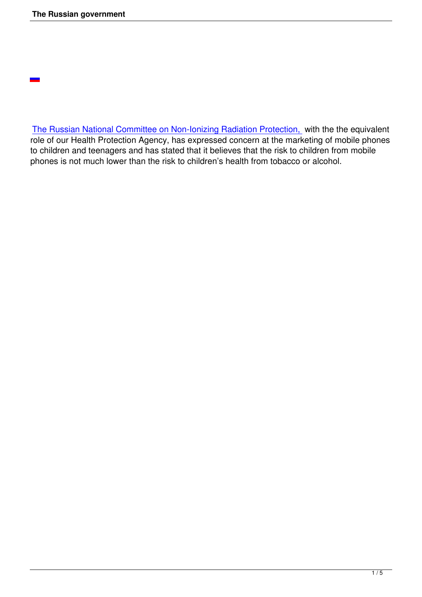

The Russian National Committee on Non-Ionizing Radiation Protection, with the the equivalent role of our Health Protection Agency, has expressed concern at the marketing of mobile phones to children and teenagers and has stated that it believes that the risk to children from mobile [phones is not much lower than the risk to children's health from tobacco o](http://www.kinder-und-mobilfunk.de/033ea29b1b0ba2803/033ea29b220eacbfc/033ea29b3e0deba01/033ea29b3e0e1d80c.html)r alcohol.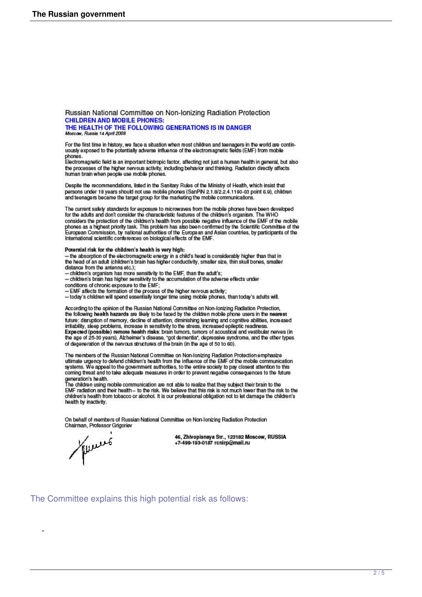Russian National Committee on Non-Ionizing Radiation Protection **CHILDREN AND MOBILE PHONES:** 

THE HEALTH OF THE FOLLOWING GENERATIONS IS IN DANGER<br>Moscaw, Russie 14 April 2008

For the first time in history, we face a situation when most children and teenagers in the world are continuously exposed to the potentially adverse influence of the electromagnetic fields (EMF) from mobile

phones.<br>Electromagnetic field is an important biotropic factor, affecting not just a human health in general, but also the processes of the higher nervous activity, including behavior and thinking. Radiation directly affects human brain when people use mobile phones

Despite the recommendations, listed in the Sanitary Rules of the Ministry of Health, which insist that Designs under 18 years should not use mobile phones (SanPIN 2.1.8/2.2.4.1190-03 point 6.9), children<br>and teenagers became the target group for the marketing the mobile communications.

The current safety standards for exposure to microwaves from the mobile phones have been developed for the adults and don't consider the characteristic features of the children's organism. The WHO For the change of the protection of the children's health from possible negative influence of the EMF of the mobile<br>phones as a highest priority task. This problem has also been confirmed by the Scientific Committee of the

## Potential risk for the children's health is very high:

- the absorption of the electromagnetic energy in a child's head is considerably higher than that in the head of an adult (children's brain has higher conductivity, smaller size, thin skull bones, smaller distance from the antenna etc.);

- children's organism has more sensitivity to the EMF, than the adult's;<br>- children's organism has more sensitivity to the accumulation of the adverse effects under

conditions of chronic exposure to the EMF;<br>- EMF affects the formation of the process of the higher nervous activity;<br>- today's children will spend essentially longer time using mobile phones, than today's adults will.

According to the opinion of the Russian National Committee on Non-Ionizing Radiation Protection, the following health hazards are likely to be faced by the children mobile phone users in the nearest future: disruption of memory, decline of attention, diminishing learning and cognitive abilities, increased irritability, sleep problems, increase in sensitivity to the stress, increased epileptic readiness Expected (possible) remote health risks: brain tumors, tumors of acoustical and vestibular nerves (in the age of 25-30 years), Alzheimer's disease, "got dementia", depressive syndrome, and the other types of degeneration of the nervous structures of the brain (in the age of 50 to 60).

The members of the Russian National Committee on Non-Ionizing Radiation Protection emphasize<br>ultimate urgency to defend children's health from the influence of the EMF of the mobile communication systems. We appeal to the government authorities, to the entire society to pay closest attention to this<br>coming threat and to take adequate measures in order to prevent negative consequences to the future

generation's health.<br>The children using mobile communication are not able to realize that they subject their brain to the<br>EMF radiation and their health – to the risk. We believe that this risk is not much lower than the r health by inactivity.

On behalf of members of Russian National Committee on Non-Ionizing Radiation Protection Chairman, Professor Grigoriev

Murro

46, Zhivopisnaya Str., 123182 Moscow, RUSSIA +7-499-193-0187 rcnirp@mail.ru

The Committee explains this high potential risk as follows: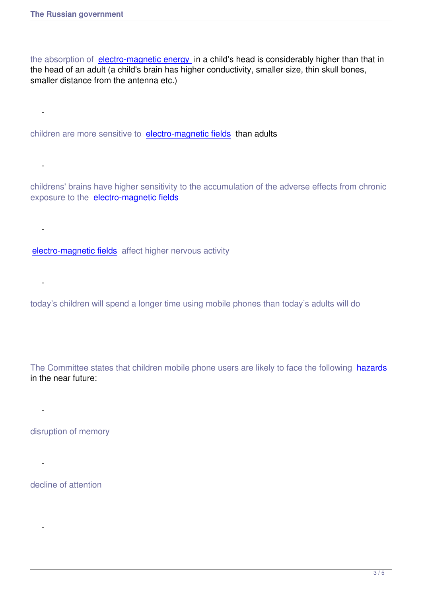the absorption of electro-magnetic energy in a child's head is considerably higher than that in the head of an adult (a child's brain has higher conductivity, smaller size, thin skull bones, smaller distance from the antenna etc.)

children are more sensitive to electro-magnetic fields than adults

childrens' brains have higher sensitivity to the accumulation of the adverse effects from chronic exposure to the electro-magnetic fields

electro-magnetic fields affect higher nervous activity

today's children will spend a longer time using mobile phones than today's adults will do

The Committee states that children mobile phone users are likely to face the following hazards in the near future:

disruption of memory

-

-

-

 [-](faq.html#microwave) 

-

-

-

decline of attention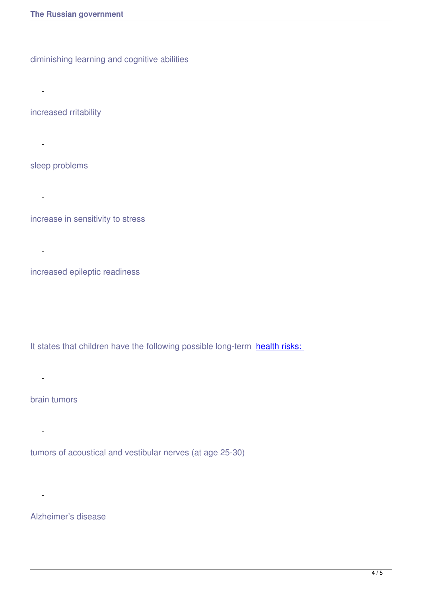diminishing learning and cognitive abilities

increased rritability

 $\sim$  -  $\sim$   $\sim$ 

 $-$ 

 $\sim$  -  $\sim$   $\sim$   $\sim$ 

-

sleep problems

increase in sensitivity to stress

increased epileptic readiness

It states that children have the following possible long-term health risks:

brain tumors

-

 $\sim$  -  $\sim$ 

-

tumors of acoustical and vestibular nerves (at age 25-30)

Alzheimer's disease